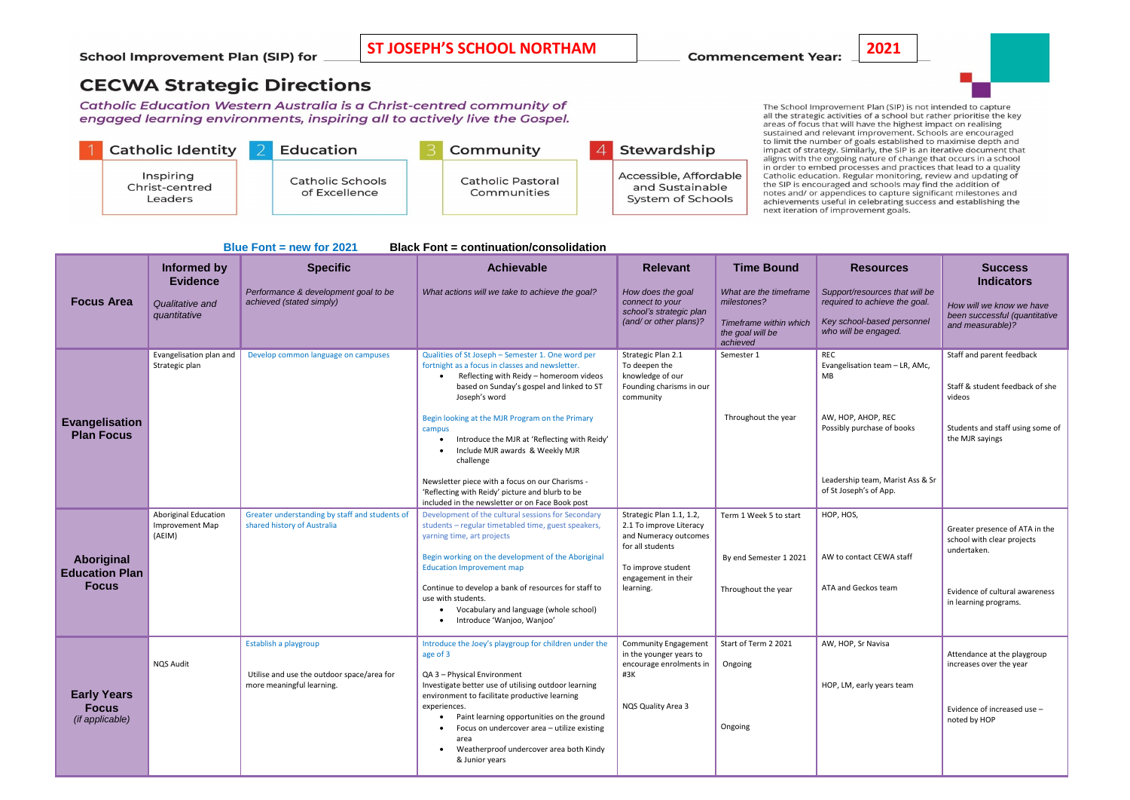| <b>Blue Font = new for 2021</b><br><b>Black Font = continuation/consolidation</b> |                                                          |                                                                                                  |                                                                                                                                                                                                                                                                                                                                                                                             |                                                                                                                |                                                                                                 |                                                                                                                       |                                                                                                       |
|-----------------------------------------------------------------------------------|----------------------------------------------------------|--------------------------------------------------------------------------------------------------|---------------------------------------------------------------------------------------------------------------------------------------------------------------------------------------------------------------------------------------------------------------------------------------------------------------------------------------------------------------------------------------------|----------------------------------------------------------------------------------------------------------------|-------------------------------------------------------------------------------------------------|-----------------------------------------------------------------------------------------------------------------------|-------------------------------------------------------------------------------------------------------|
|                                                                                   | Informed by<br><b>Evidence</b>                           | <b>Specific</b>                                                                                  | <b>Achievable</b>                                                                                                                                                                                                                                                                                                                                                                           | <b>Relevant</b>                                                                                                | <b>Time Bound</b>                                                                               | <b>Resources</b>                                                                                                      | <b>Success</b><br><b>Indicators</b>                                                                   |
| <b>Focus Area</b>                                                                 | Qualitative and<br>quantitative                          | Performance & development goal to be<br>achieved (stated simply)                                 | What actions will we take to achieve the goal?                                                                                                                                                                                                                                                                                                                                              | How does the goal<br>connect to your<br>school's strategic plan<br>(and/ or other plans)?                      | What are the timeframe<br>milestones?<br>Timeframe within which<br>the goal will be<br>achieved | Support/resources that will be<br>required to achieve the goal.<br>Key school-based personnel<br>who will be engaged. | How will we know we have<br>been successful (quantitative<br>and measurable)?                         |
| <b>Evangelisation</b><br><b>Plan Focus</b>                                        | Evangelisation plan and<br>Strategic plan                | Develop common language on campuses                                                              | Qualities of St Joseph - Semester 1. One word per<br>fortnight as a focus in classes and newsletter.<br>Reflecting with Reidy - homeroom videos<br>based on Sunday's gospel and linked to ST<br>Joseph's word<br>Begin looking at the MJR Program on the Primary                                                                                                                            | Strategic Plan 2.1<br>To deepen the<br>knowledge of our<br>Founding charisms in our<br>community               | Semester 1<br>Throughout the year                                                               | <b>REC</b><br>Evangelisation team - LR, AMc,<br><b>MB</b><br>AW, HOP, AHOP, REC                                       | Staff and parent feedback<br>Staff & student feedback of she<br>videos                                |
|                                                                                   |                                                          |                                                                                                  | campus<br>Introduce the MJR at 'Reflecting with Reidy'<br>Include MJR awards & Weekly MJR<br>challenge                                                                                                                                                                                                                                                                                      |                                                                                                                |                                                                                                 | Possibly purchase of books                                                                                            | Students and staff using some of<br>the MJR sayings                                                   |
|                                                                                   |                                                          |                                                                                                  | Newsletter piece with a focus on our Charisms -<br>'Reflecting with Reidy' picture and blurb to be<br>included in the newsletter or on Face Book post                                                                                                                                                                                                                                       |                                                                                                                |                                                                                                 | Leadership team, Marist Ass & Sr<br>of St Joseph's of App.                                                            |                                                                                                       |
| Aboriginal<br><b>Education Plan</b><br><b>Focus</b>                               | <b>Aboriginal Education</b><br>Improvement Map<br>(AEIM) | Greater understanding by staff and students of<br>shared history of Australia                    | Development of the cultural sessions for Secondary<br>students - regular timetabled time, guest speakers,<br>yarning time, art projects<br>Begin working on the development of the Aboriginal                                                                                                                                                                                               | Strategic Plan 1.1, 1.2,<br>2.1 To improve Literacy<br>and Numeracy outcomes<br>for all students               | Term 1 Week 5 to start<br>By end Semester 1 2021                                                | HOP, HOS,<br>AW to contact CEWA staff                                                                                 | Greater presence of ATA in the<br>school with clear projects<br>undertaken.                           |
|                                                                                   |                                                          |                                                                                                  | <b>Education Improvement map</b><br>Continue to develop a bank of resources for staff to<br>use with students.<br>Vocabulary and language (whole school)<br>Introduce 'Wanjoo, Wanjoo'                                                                                                                                                                                                      | To improve student<br>engagement in their<br>learning.                                                         | Throughout the year                                                                             | ATA and Geckos team                                                                                                   | Evidence of cultural awareness<br>in learning programs.                                               |
| <b>Early Years</b><br><b>Focus</b><br>(if applicable)                             | <b>NQS Audit</b>                                         | Establish a playgroup<br>Utilise and use the outdoor space/area for<br>more meaningful learning. | Introduce the Joey's playgroup for children under the<br>age of 3<br>QA 3 - Physical Environment<br>Investigate better use of utilising outdoor learning<br>environment to facilitate productive learning<br>experiences.<br>Paint learning opportunities on the ground<br>Focus on undercover area - utilize existing<br>area<br>Weatherproof undercover area both Kindy<br>& Junior years | <b>Community Engagement</b><br>in the younger years to<br>encourage enrolments in<br>#3K<br>NQS Quality Area 3 | Start of Term 2 2021<br>Ongoing<br>Ongoing                                                      | AW, HOP, Sr Navisa<br>HOP, LM, early years team                                                                       | Attendance at the playgroup<br>increases over the year<br>Evidence of increased use -<br>noted by HOP |



The School Improvement Plan (SIP) is not intended to capture all the strategic activities of a school but rather prioritise the key an the strategic activities of a school but rather prioritise the<br>areas of focus that will have the highest impact on realising sustained and relevant improvement. Schools are encouraged to limit the number of goals established to maximise depth and impact of strategy. Similarly, the SIP is an iterative document that<br>aligns with the ongoing nature of change that occurs in a school in order to embed processes and practices that lead to a quality Catholic education. Regular monitoring, review and updating of the SIP is encouraged and schools may find the addition of notes and/ or appendices to capture significant milestones and achievements useful in celebrating success and establishing the

**School Improvement Plan (SIP) for** 

**ST JOSEPH'S SCHOOL NORTHAM 2021**

## **CECWA Strategic Directions**

Catholic Education Western Australia is a Christ-centred community of engaged learning environments, inspiring all to actively live the Gospel.



next iteration of improvement goals.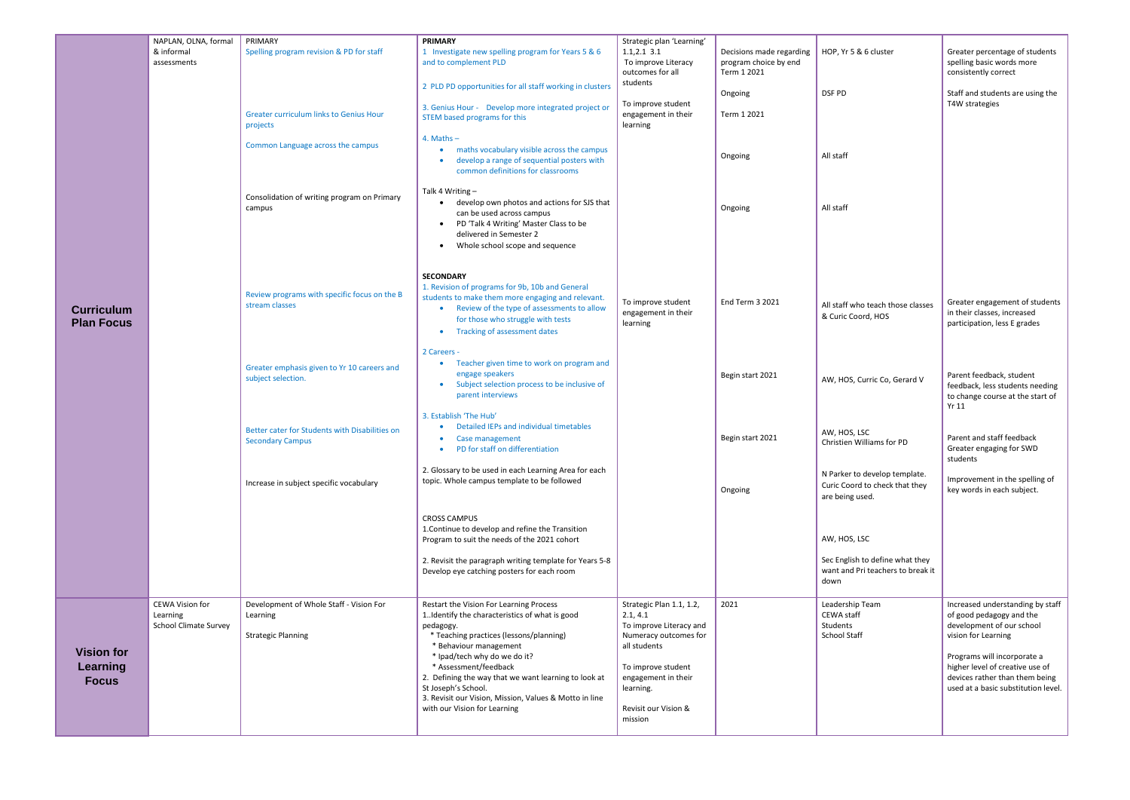| Strategic plan 'Learning'<br>$1.1, 2.1$ 3.1<br>To improve Literacy<br>outcomes for all                                                                                                                | Decisions made regarding<br>program choice by end | HOP, Yr 5 & 6 clu                                                |
|-------------------------------------------------------------------------------------------------------------------------------------------------------------------------------------------------------|---------------------------------------------------|------------------------------------------------------------------|
|                                                                                                                                                                                                       | Term 1 2021                                       |                                                                  |
|                                                                                                                                                                                                       |                                                   | DSF PD                                                           |
| To improve student<br>engagement in their<br>learning                                                                                                                                                 | Term 1 2021                                       |                                                                  |
|                                                                                                                                                                                                       | Ongoing                                           | All staff                                                        |
|                                                                                                                                                                                                       | Ongoing                                           | All staff                                                        |
| To improve student<br>engagement in their<br>learning                                                                                                                                                 | End Term 3 2021                                   | All staff who tead<br>& Curic Coord, H                           |
|                                                                                                                                                                                                       | Begin start 2021                                  | AW, HOS, Curric                                                  |
|                                                                                                                                                                                                       | Begin start 2021                                  | AW, HOS, LSC<br>Christien William                                |
|                                                                                                                                                                                                       | Ongoing                                           | N Parker to deve<br>Curic Coord to ch<br>are being used.         |
|                                                                                                                                                                                                       |                                                   | AW, HOS, LSC                                                     |
|                                                                                                                                                                                                       |                                                   | Sec English to de<br>want and Pri tead<br>down                   |
| Strategic Plan 1.1, 1.2,<br>2.1, 4.1<br>To improve Literacy and<br>Numeracy outcomes for<br>all students<br>To improve student<br>engagement in their<br>learning.<br>Revisit our Vision &<br>mission | 2021                                              | Leadership Team<br>CEWA staff<br>Students<br><b>School Staff</b> |
|                                                                                                                                                                                                       | students                                          | Ongoing                                                          |

| HOP, Yr 5 & 6 cluster                                                              | Greater percentage of students<br>spelling basic words more<br>consistently correct                                                     |  |  |  |
|------------------------------------------------------------------------------------|-----------------------------------------------------------------------------------------------------------------------------------------|--|--|--|
| <b>DSF PD</b>                                                                      | Staff and students are using the<br>T4W strategies                                                                                      |  |  |  |
| All staff                                                                          |                                                                                                                                         |  |  |  |
| All staff                                                                          |                                                                                                                                         |  |  |  |
|                                                                                    |                                                                                                                                         |  |  |  |
| All staff who teach those classes<br>& Curic Coord, HOS                            | Greater engagement of students<br>in their classes, increased<br>participation, less E grades                                           |  |  |  |
| AW, HOS, Curric Co, Gerard V                                                       | Parent feedback, student<br>feedback, less students needing<br>to change course at the start of<br>Yr 11                                |  |  |  |
| AW, HOS, LSC<br>Christien Williams for PD                                          | Parent and staff feedback<br>Greater engaging for SWD<br>students                                                                       |  |  |  |
| N Parker to develop template.<br>Curic Coord to check that they<br>are being used. | Improvement in the spelling of<br>key words in each subject.                                                                            |  |  |  |
| AW, HOS, LSC                                                                       |                                                                                                                                         |  |  |  |
| Sec English to define what they<br>want and Pri teachers to break it<br>down       |                                                                                                                                         |  |  |  |
| Leadership Team<br>CEWA staff<br>Students<br><b>School Staff</b>                   | Increased understanding by staff<br>of good pedagogy and the<br>development of our school<br>vision for Learning                        |  |  |  |
|                                                                                    | Programs will incorporate a<br>higher level of creative use of<br>devices rather than them being<br>used at a basic substitution level. |  |  |  |
|                                                                                    |                                                                                                                                         |  |  |  |